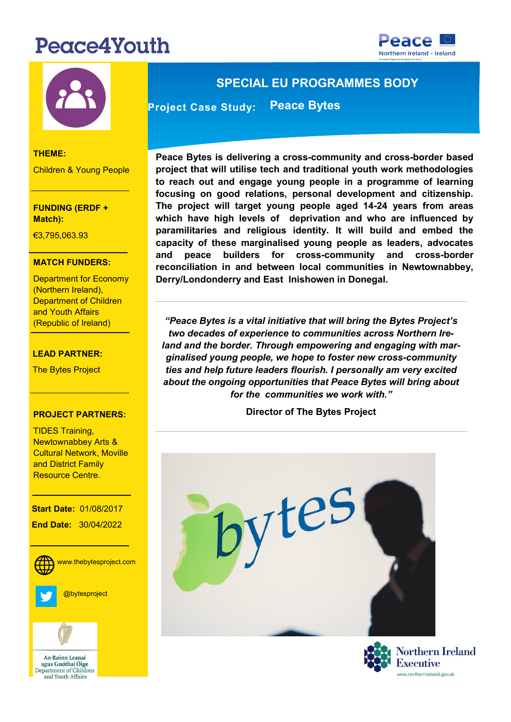# Peace4Youth





#### **THEME:**

Children & Young People

**FUNDING (ERDF + Match):** 

**THEME:** €3,795,063.93

### **MATCH FUNDERS:**

Department for Economy (Northern Ireland), (Republic of Ireland) Department of Children and Youth Affairs

#### **LEAD PARTNER:**

The Bytes Project

#### **PROJECT PARTNERS:**

TIDES Training, Cultural Network, Moville Newtownabbey Arts & and District Family Resource Centre.

**Start Date: 01/08/2017 End Date:** 30/04/2022

> **Social Media:** www.thebytesproject.com



@bytesproject



An Roinn Leanaí agus Gnóthaí Óige Department of Children and Youth Affairs

## **SPECIAL EU PROGRAMMES BODY**

**Project Case Study: Peace Bytes** 

**Peace Bytes is delivering a cross-community and cross-border based project that will utilise tech and traditional youth work methodologies to reach out and engage young people in a programme of learning focusing on good relations, personal development and citizenship. The project will target young people aged 14-24 years from areas which have high levels of deprivation and who are influenced by paramilitaries and religious identity. It will build and embed the capacity of these marginalised young people as leaders, advocates and peace builders for cross-community and cross-border reconciliation in and between local communities in Newtownabbey, Derry/Londonderry and East Inishowen in Donegal.** 

*"Peace Bytes is a vital initiative that will bring the Bytes Project's two decades of experience to communities across Northern Ireland and the border. Through empowering and engaging with marginalised young people, we hope to foster new cross-community ties and help future leaders flourish. I personally am very excited about the ongoing opportunities that Peace Bytes will bring about for the communities we work with."* 

**Director of The Bytes Project**